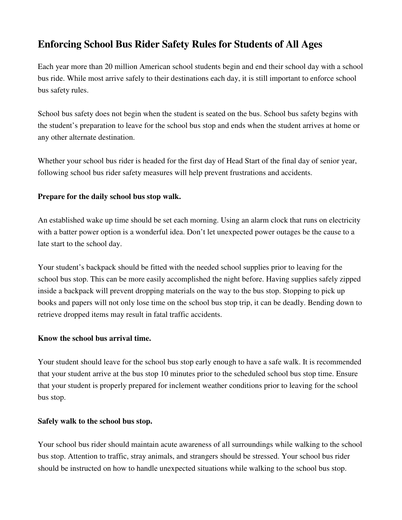# **Enforcing School Bus Rider Safety Rules for Students of All Ages**

Each year more than 20 million American school students begin and end their school day with a school bus ride. While most arrive safely to their destinations each day, it is still important to enforce school bus safety rules.

School bus safety does not begin when the student is seated on the bus. School bus safety begins with the student's preparation to leave for the school bus stop and ends when the student arrives at home or any other alternate destination.

Whether your school bus rider is headed for the first day of Head Start of the final day of senior year, following school bus rider safety measures will help prevent frustrations and accidents.

## **Prepare for the daily school bus stop walk.**

An established wake up time should be set each morning. Using an alarm clock that runs on electricity with a batter power option is a wonderful idea. Don't let unexpected power outages be the cause to a late start to the school day.

Your student's backpack should be fitted with the needed school supplies prior to leaving for the school bus stop. This can be more easily accomplished the night before. Having supplies safely zipped inside a backpack will prevent dropping materials on the way to the bus stop. Stopping to pick up books and papers will not only lose time on the school bus stop trip, it can be deadly. Bending down to retrieve dropped items may result in fatal traffic accidents.

## **Know the school bus arrival time.**

Your student should leave for the school bus stop early enough to have a safe walk. It is recommended that your student arrive at the bus stop 10 minutes prior to the scheduled school bus stop time. Ensure that your student is properly prepared for inclement weather conditions prior to leaving for the school bus stop.

## **Safely walk to the school bus stop.**

Your school bus rider should maintain acute awareness of all surroundings while walking to the school bus stop. Attention to traffic, stray animals, and strangers should be stressed. Your school bus rider should be instructed on how to handle unexpected situations while walking to the school bus stop.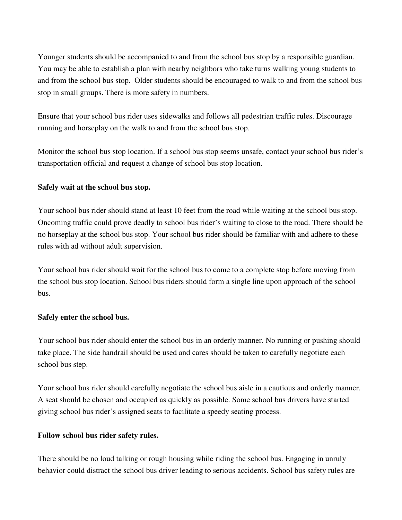Younger students should be accompanied to and from the school bus stop by a responsible guardian. You may be able to establish a plan with nearby neighbors who take turns walking young students to and from the school bus stop. Older students should be encouraged to walk to and from the school bus stop in small groups. There is more safety in numbers.

Ensure that your school bus rider uses sidewalks and follows all pedestrian traffic rules. Discourage running and horseplay on the walk to and from the school bus stop.

Monitor the school bus stop location. If a school bus stop seems unsafe, contact your school bus rider's transportation official and request a change of school bus stop location.

#### **Safely wait at the school bus stop.**

Your school bus rider should stand at least 10 feet from the road while waiting at the school bus stop. Oncoming traffic could prove deadly to school bus rider's waiting to close to the road. There should be no horseplay at the school bus stop. Your school bus rider should be familiar with and adhere to these rules with ad without adult supervision.

Your school bus rider should wait for the school bus to come to a complete stop before moving from the school bus stop location. School bus riders should form a single line upon approach of the school bus.

#### **Safely enter the school bus.**

Your school bus rider should enter the school bus in an orderly manner. No running or pushing should take place. The side handrail should be used and cares should be taken to carefully negotiate each school bus step.

Your school bus rider should carefully negotiate the school bus aisle in a cautious and orderly manner. A seat should be chosen and occupied as quickly as possible. Some school bus drivers have started giving school bus rider's assigned seats to facilitate a speedy seating process.

## **Follow school bus rider safety rules.**

There should be no loud talking or rough housing while riding the school bus. Engaging in unruly behavior could distract the school bus driver leading to serious accidents. School bus safety rules are